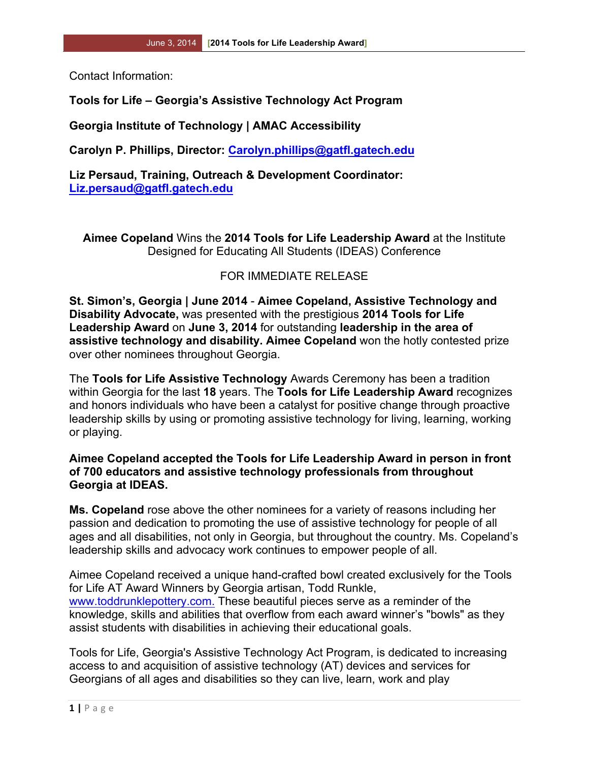Contact Information:

## **Tools for Life – Georgia's Assistive Technology Act Program**

**Georgia Institute of Technology | AMAC Accessibility**

**Carolyn P. Phillips, Director: Carolyn.phillips@gatfl.gatech.edu**

**Liz Persaud, Training, Outreach & Development Coordinator: Liz.persaud@gatfl.gatech.edu**

**Aimee Copeland** Wins the **2014 Tools for Life Leadership Award** at the Institute Designed for Educating All Students (IDEAS) Conference

## FOR IMMEDIATE RELEASE

**St. Simon's, Georgia | June 2014** - **Aimee Copeland, Assistive Technology and Disability Advocate,** was presented with the prestigious **2014 Tools for Life Leadership Award** on **June 3, 2014** for outstanding **leadership in the area of assistive technology and disability. Aimee Copeland** won the hotly contested prize over other nominees throughout Georgia.

The **Tools for Life Assistive Technology** Awards Ceremony has been a tradition within Georgia for the last **18** years. The **Tools for Life Leadership Award** recognizes and honors individuals who have been a catalyst for positive change through proactive leadership skills by using or promoting assistive technology for living, learning, working or playing.

## **Aimee Copeland accepted the Tools for Life Leadership Award in person in front of 700 educators and assistive technology professionals from throughout Georgia at IDEAS.**

**Ms. Copeland** rose above the other nominees for a variety of reasons including her passion and dedication to promoting the use of assistive technology for people of all ages and all disabilities, not only in Georgia, but throughout the country. Ms. Copeland's leadership skills and advocacy work continues to empower people of all.

Aimee Copeland received a unique hand-crafted bowl created exclusively for the Tools for Life AT Award Winners by Georgia artisan, Todd Runkle, www.toddrunklepottery.com. These beautiful pieces serve as a reminder of the knowledge, skills and abilities that overflow from each award winner's "bowls" as they assist students with disabilities in achieving their educational goals.

Tools for Life, Georgia's Assistive Technology Act Program, is dedicated to increasing access to and acquisition of assistive technology (AT) devices and services for Georgians of all ages and disabilities so they can live, learn, work and play